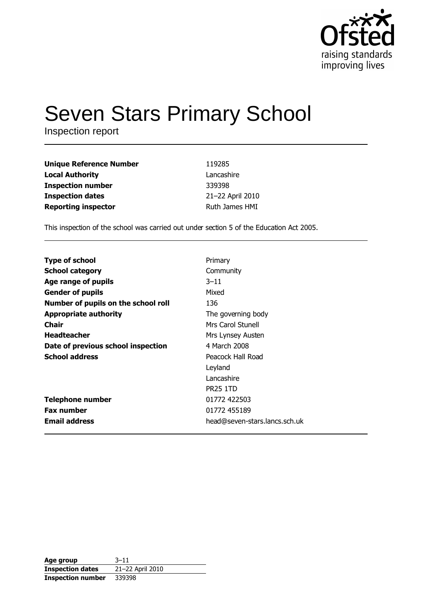

# **Seven Stars Primary School**

Inspection report

| <b>Unique Reference Number</b> | 119285           |
|--------------------------------|------------------|
| <b>Local Authority</b>         | Lancashire       |
| <b>Inspection number</b>       | 339398           |
| <b>Inspection dates</b>        | 21-22 April 2010 |
| <b>Reporting inspector</b>     | Ruth James HMI   |

This inspection of the school was carried out under section 5 of the Education Act 2005.

| <b>Type of school</b>               | Primary                       |
|-------------------------------------|-------------------------------|
|                                     |                               |
| <b>School category</b>              | Community                     |
| Age range of pupils                 | $3 - 11$                      |
| <b>Gender of pupils</b>             | Mixed                         |
| Number of pupils on the school roll | 136                           |
| <b>Appropriate authority</b>        | The governing body            |
| Chair                               | Mrs Carol Stunell             |
| <b>Headteacher</b>                  | Mrs Lynsey Austen             |
| Date of previous school inspection  | 4 March 2008                  |
| <b>School address</b>               | Peacock Hall Road             |
|                                     | Leyland                       |
|                                     | Lancashire                    |
|                                     | <b>PR25 1TD</b>               |
| <b>Telephone number</b>             | 01772 422503                  |
| <b>Fax number</b>                   | 01772 455189                  |
| <b>Email address</b>                | head@seven-stars.lancs.sch.uk |

| Age group                | $3 - 11$         |
|--------------------------|------------------|
| <b>Inspection dates</b>  | 21-22 April 2010 |
| <b>Inspection number</b> | 339398           |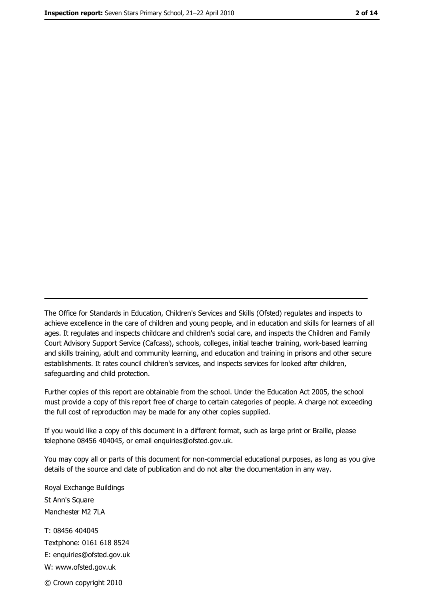The Office for Standards in Education, Children's Services and Skills (Ofsted) regulates and inspects to achieve excellence in the care of children and young people, and in education and skills for learners of all ages. It regulates and inspects childcare and children's social care, and inspects the Children and Family Court Advisory Support Service (Cafcass), schools, colleges, initial teacher training, work-based learning and skills training, adult and community learning, and education and training in prisons and other secure establishments. It rates council children's services, and inspects services for looked after children, safequarding and child protection.

Further copies of this report are obtainable from the school. Under the Education Act 2005, the school must provide a copy of this report free of charge to certain categories of people. A charge not exceeding the full cost of reproduction may be made for any other copies supplied.

If you would like a copy of this document in a different format, such as large print or Braille, please telephone 08456 404045, or email enquiries@ofsted.gov.uk.

You may copy all or parts of this document for non-commercial educational purposes, as long as you give details of the source and date of publication and do not alter the documentation in any way.

Royal Exchange Buildings St Ann's Square Manchester M2 7LA T: 08456 404045 Textphone: 0161 618 8524 E: enquiries@ofsted.gov.uk W: www.ofsted.gov.uk

© Crown copyright 2010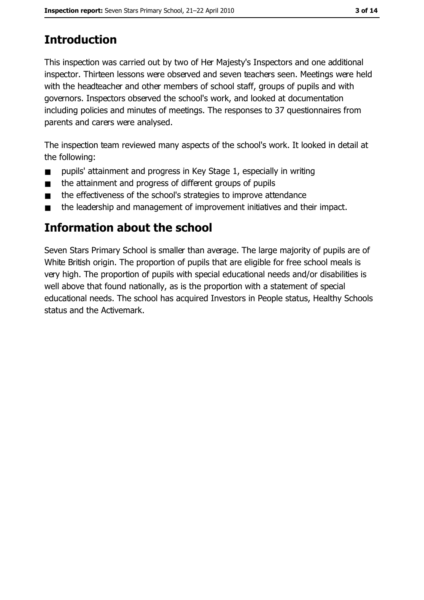# **Introduction**

This inspection was carried out by two of Her Majesty's Inspectors and one additional inspector. Thirteen lessons were observed and seven teachers seen. Meetings were held with the headteacher and other members of school staff, groups of pupils and with governors. Inspectors observed the school's work, and looked at documentation including policies and minutes of meetings. The responses to 37 questionnaires from parents and carers were analysed.

The inspection team reviewed many aspects of the school's work. It looked in detail at the following:

- pupils' attainment and progress in Key Stage 1, especially in writing  $\blacksquare$
- the attainment and progress of different groups of pupils  $\blacksquare$
- the effectiveness of the school's strategies to improve attendance  $\blacksquare$
- the leadership and management of improvement initiatives and their impact.  $\blacksquare$

### Information about the school

Seven Stars Primary School is smaller than average. The large majority of pupils are of White British origin. The proportion of pupils that are eligible for free school meals is very high. The proportion of pupils with special educational needs and/or disabilities is well above that found nationally, as is the proportion with a statement of special educational needs. The school has acquired Investors in People status, Healthy Schools status and the Activemark.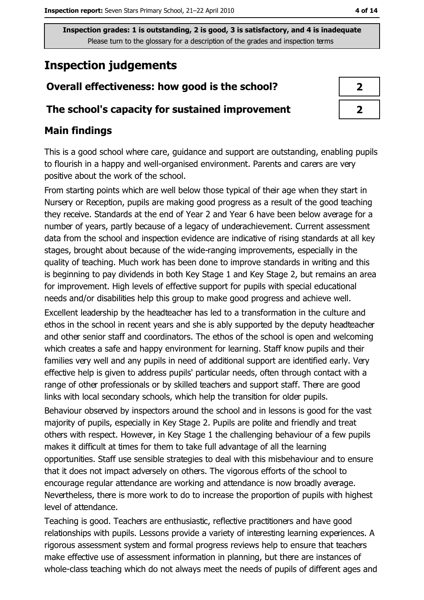# **Inspection judgements**

# Overall effectiveness: how good is the school?

### The school's capacity for sustained improvement

### **Main findings**

This is a good school where care, guidance and support are outstanding, enabling pupils to flourish in a happy and well-organised environment. Parents and carers are very positive about the work of the school.

From starting points which are well below those typical of their age when they start in Nursery or Reception, pupils are making good progress as a result of the good teaching they receive. Standards at the end of Year 2 and Year 6 have been below average for a number of years, partly because of a legacy of underachievement. Current assessment data from the school and inspection evidence are indicative of rising standards at all key stages, brought about because of the wide-ranging improvements, especially in the quality of teaching. Much work has been done to improve standards in writing and this is beginning to pay dividends in both Key Stage 1 and Key Stage 2, but remains an area for improvement. High levels of effective support for pupils with special educational needs and/or disabilities help this group to make good progress and achieve well.

Excellent leadership by the headteacher has led to a transformation in the culture and ethos in the school in recent years and she is ably supported by the deputy headteacher and other senior staff and coordinators. The ethos of the school is open and welcoming which creates a safe and happy environment for learning. Staff know pupils and their families very well and any pupils in need of additional support are identified early. Very effective help is given to address pupils' particular needs, often through contact with a range of other professionals or by skilled teachers and support staff. There are good links with local secondary schools, which help the transition for older pupils.

Behaviour observed by inspectors around the school and in lessons is good for the vast majority of pupils, especially in Key Stage 2. Pupils are polite and friendly and treat others with respect. However, in Key Stage 1 the challenging behaviour of a few pupils makes it difficult at times for them to take full advantage of all the learning opportunities. Staff use sensible strategies to deal with this misbehaviour and to ensure that it does not impact adversely on others. The vigorous efforts of the school to encourage regular attendance are working and attendance is now broadly average. Nevertheless, there is more work to do to increase the proportion of pupils with highest level of attendance.

Teaching is good. Teachers are enthusiastic, reflective practitioners and have good relationships with pupils. Lessons provide a variety of interesting learning experiences. A rigorous assessment system and formal progress reviews help to ensure that teachers make effective use of assessment information in planning, but there are instances of whole-class teaching which do not always meet the needs of pupils of different ages and

| ۰. |  |
|----|--|
|    |  |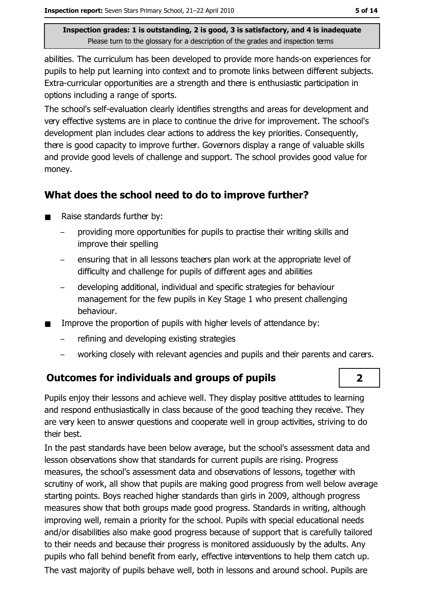abilities. The curriculum has been developed to provide more hands-on experiences for pupils to help put learning into context and to promote links between different subjects. Extra-curricular opportunities are a strength and there is enthusiastic participation in options including a range of sports.

The school's self-evaluation clearly identifies strengths and areas for development and very effective systems are in place to continue the drive for improvement. The school's development plan includes clear actions to address the key priorities. Consequently, there is good capacity to improve further. Governors display a range of valuable skills and provide good levels of challenge and support. The school provides good value for money.

### What does the school need to do to improve further?

- Raise standards further by:  $\blacksquare$ 
	- providing more opportunities for pupils to practise their writing skills and improve their spelling
	- ensuring that in all lessons teachers plan work at the appropriate level of difficulty and challenge for pupils of different ages and abilities
	- developing additional, individual and specific strategies for behaviour management for the few pupils in Key Stage 1 who present challenging behaviour.
- Improve the proportion of pupils with higher levels of attendance by:  $\blacksquare$ 
	- refining and developing existing strategies
	- working closely with relevant agencies and pupils and their parents and carers.

### **Outcomes for individuals and groups of pupils**

Pupils enjoy their lessons and achieve well. They display positive attitudes to learning and respond enthusiastically in class because of the good teaching they receive. They are very keen to answer questions and cooperate well in group activities, striving to do their hest.

In the past standards have been below average, but the school's assessment data and lesson observations show that standards for current pupils are rising. Progress measures, the school's assessment data and observations of lessons, together with scrutiny of work, all show that pupils are making good progress from well below average starting points. Boys reached higher standards than girls in 2009, although progress measures show that both groups made good progress. Standards in writing, although improving well, remain a priority for the school. Pupils with special educational needs and/or disabilities also make good progress because of support that is carefully tailored to their needs and because their progress is monitored assiduously by the adults. Any pupils who fall behind benefit from early, effective interventions to help them catch up. The vast majority of pupils behave well, both in lessons and around school. Pupils are

### $\overline{\mathbf{2}}$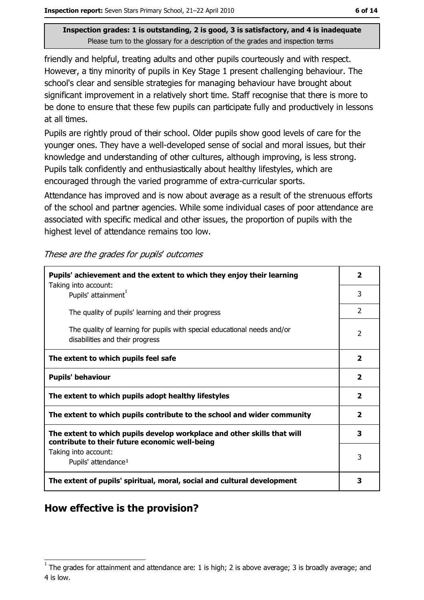friendly and helpful, treating adults and other pupils courteously and with respect. However, a tiny minority of pupils in Key Stage 1 present challenging behaviour. The school's clear and sensible strategies for managing behaviour have brought about significant improvement in a relatively short time. Staff recognise that there is more to be done to ensure that these few pupils can participate fully and productively in lessons at all times.

Pupils are rightly proud of their school. Older pupils show good levels of care for the vounger ones. They have a well-developed sense of social and moral issues, but their knowledge and understanding of other cultures, although improving, is less strong. Pupils talk confidently and enthusiastically about healthy lifestyles, which are encouraged through the varied programme of extra-curricular sports.

Attendance has improved and is now about average as a result of the strenuous efforts of the school and partner agencies. While some individual cases of poor attendance are associated with specific medical and other issues, the proportion of pupils with the highest level of attendance remains too low.

These are the grades for pupils' outcomes

| Pupils' achievement and the extent to which they enjoy their learning                                                     |                         |  |
|---------------------------------------------------------------------------------------------------------------------------|-------------------------|--|
| Taking into account:<br>Pupils' attainment <sup>1</sup>                                                                   | 3                       |  |
| The quality of pupils' learning and their progress                                                                        | $\overline{2}$          |  |
| The quality of learning for pupils with special educational needs and/or<br>disabilities and their progress               | $\overline{2}$          |  |
| The extent to which pupils feel safe                                                                                      | $\overline{\mathbf{2}}$ |  |
| <b>Pupils' behaviour</b>                                                                                                  | $\overline{2}$          |  |
| The extent to which pupils adopt healthy lifestyles                                                                       | $\overline{\mathbf{2}}$ |  |
| The extent to which pupils contribute to the school and wider community                                                   |                         |  |
| The extent to which pupils develop workplace and other skills that will<br>contribute to their future economic well-being | 3                       |  |
| Taking into account:<br>Pupils' attendance <sup>1</sup>                                                                   | 3                       |  |
| The extent of pupils' spiritual, moral, social and cultural development                                                   | 3                       |  |

### How effective is the provision?

The grades for attainment and attendance are: 1 is high; 2 is above average; 3 is broadly average; and 4 is low.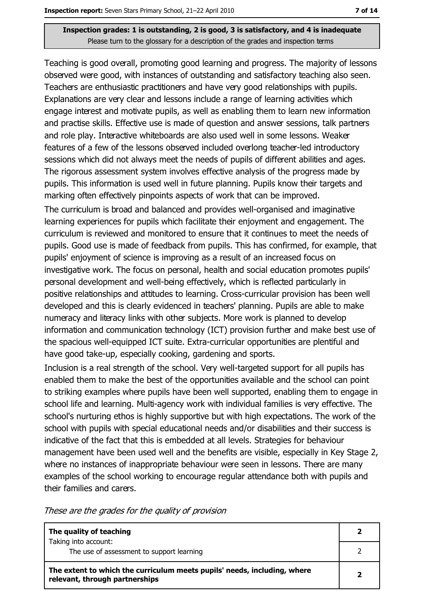Teaching is good overall, promoting good learning and progress. The majority of lessons observed were good, with instances of outstanding and satisfactory teaching also seen. Teachers are enthusiastic practitioners and have very good relationships with pupils. Explanations are very clear and lessons include a range of learning activities which engage interest and motivate pupils, as well as enabling them to learn new information and practise skills. Effective use is made of question and answer sessions, talk partners and role play. Interactive whiteboards are also used well in some lessons. Weaker features of a few of the lessons observed included overlong teacher-led introductory sessions which did not always meet the needs of pupils of different abilities and ages. The rigorous assessment system involves effective analysis of the progress made by pupils. This information is used well in future planning. Pupils know their targets and marking often effectively pinpoints aspects of work that can be improved.

The curriculum is broad and balanced and provides well-organised and imaginative learning experiences for pupils which facilitate their enjoyment and engagement. The curriculum is reviewed and monitored to ensure that it continues to meet the needs of pupils. Good use is made of feedback from pupils. This has confirmed, for example, that pupils' enjoyment of science is improving as a result of an increased focus on investigative work. The focus on personal, health and social education promotes pupils' personal development and well-being effectively, which is reflected particularly in positive relationships and attitudes to learning. Cross-curricular provision has been well developed and this is clearly evidenced in teachers' planning. Pupils are able to make numeracy and literacy links with other subjects. More work is planned to develop information and communication technology (ICT) provision further and make best use of the spacious well-equipped ICT suite. Extra-curricular opportunities are plentiful and have good take-up, especially cooking, gardening and sports.

Inclusion is a real strength of the school. Very well-targeted support for all pupils has enabled them to make the best of the opportunities available and the school can point to striking examples where pupils have been well supported, enabling them to engage in school life and learning. Multi-agency work with individual families is very effective. The school's nurturing ethos is highly supportive but with high expectations. The work of the school with pupils with special educational needs and/or disabilities and their success is indicative of the fact that this is embedded at all levels. Strategies for behaviour management have been used well and the benefits are visible, especially in Key Stage 2, where no instances of inappropriate behaviour were seen in lessons. There are many examples of the school working to encourage regular attendance both with pupils and their families and carers.

These are the grades for the quality of provision

| The quality of teaching                                                                                    |   |
|------------------------------------------------------------------------------------------------------------|---|
| Taking into account:<br>The use of assessment to support learning                                          |   |
| The extent to which the curriculum meets pupils' needs, including, where<br>relevant, through partnerships | 2 |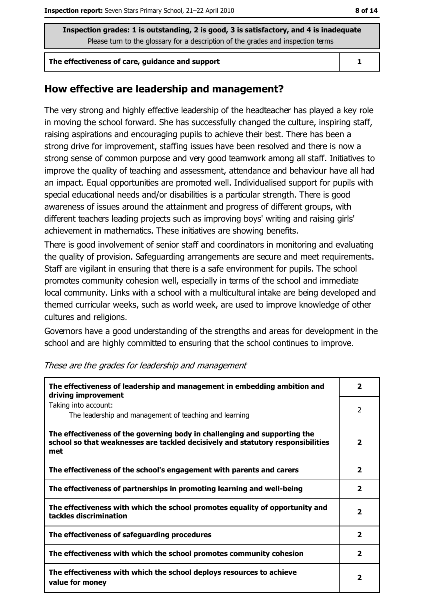#### The effectiveness of care, quidance and support

### How effective are leadership and management?

The very strong and highly effective leadership of the headteacher has played a key role in moving the school forward. She has successfully changed the culture, inspiring staff, raising aspirations and encouraging pupils to achieve their best. There has been a strong drive for improvement, staffing issues have been resolved and there is now a strong sense of common purpose and very good teamwork among all staff. Initiatives to improve the quality of teaching and assessment, attendance and behaviour have all had an impact. Equal opportunities are promoted well. Individualised support for pupils with special educational needs and/or disabilities is a particular strength. There is good awareness of issues around the attainment and progress of different groups, with different teachers leading projects such as improving boys' writing and raising girls' achievement in mathematics. These initiatives are showing benefits.

There is good involvement of senior staff and coordinators in monitoring and evaluating the quality of provision. Safeguarding arrangements are secure and meet requirements. Staff are vigilant in ensuring that there is a safe environment for pupils. The school promotes community cohesion well, especially in terms of the school and immediate local community. Links with a school with a multicultural intake are being developed and themed curricular weeks, such as world week, are used to improve knowledge of other cultures and religions.

Governors have a good understanding of the strengths and areas for development in the school and are highly committed to ensuring that the school continues to improve.

| The effectiveness of leadership and management in embedding ambition and<br>driving improvement                                                                     |                         |  |  |
|---------------------------------------------------------------------------------------------------------------------------------------------------------------------|-------------------------|--|--|
| Taking into account:<br>The leadership and management of teaching and learning                                                                                      | 2                       |  |  |
| The effectiveness of the governing body in challenging and supporting the<br>school so that weaknesses are tackled decisively and statutory responsibilities<br>met | $\mathbf{2}$            |  |  |
| The effectiveness of the school's engagement with parents and carers                                                                                                | $\overline{\mathbf{2}}$ |  |  |
| The effectiveness of partnerships in promoting learning and well-being                                                                                              | 2                       |  |  |
| The effectiveness with which the school promotes equality of opportunity and<br>tackles discrimination                                                              | $\overline{\mathbf{2}}$ |  |  |
| The effectiveness of safeguarding procedures                                                                                                                        | $\overline{\mathbf{2}}$ |  |  |
| The effectiveness with which the school promotes community cohesion                                                                                                 | $\overline{\mathbf{2}}$ |  |  |
| The effectiveness with which the school deploys resources to achieve<br>value for money                                                                             | 2                       |  |  |

These are the grades for leadership and management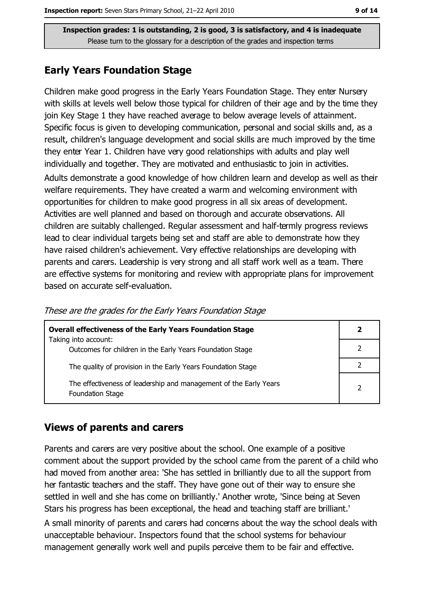### **Early Years Foundation Stage**

Children make good progress in the Early Years Foundation Stage. They enter Nursery with skills at levels well below those typical for children of their age and by the time they join Key Stage 1 they have reached average to below average levels of attainment. Specific focus is given to developing communication, personal and social skills and, as a result, children's language development and social skills are much improved by the time they enter Year 1. Children have very good relationships with adults and play well individually and together. They are motivated and enthusiastic to join in activities.

Adults demonstrate a good knowledge of how children learn and develop as well as their welfare requirements. They have created a warm and welcoming environment with opportunities for children to make good progress in all six areas of development. Activities are well planned and based on thorough and accurate observations. All children are suitably challenged. Regular assessment and half-termly progress reviews lead to clear individual targets being set and staff are able to demonstrate how they have raised children's achievement. Very effective relationships are developing with parents and carers. Leadership is very strong and all staff work well as a team. There are effective systems for monitoring and review with appropriate plans for improvement based on accurate self-evaluation.

| <b>Overall effectiveness of the Early Years Foundation Stage</b>                             |  |  |
|----------------------------------------------------------------------------------------------|--|--|
| Taking into account:<br>Outcomes for children in the Early Years Foundation Stage            |  |  |
| The quality of provision in the Early Years Foundation Stage                                 |  |  |
| The effectiveness of leadership and management of the Early Years<br><b>Foundation Stage</b> |  |  |

These are the grades for the Early Years Foundation Stage

### **Views of parents and carers**

Parents and carers are very positive about the school. One example of a positive comment about the support provided by the school came from the parent of a child who had moved from another area: 'She has settled in brilliantly due to all the support from her fantastic teachers and the staff. They have gone out of their way to ensure she settled in well and she has come on brilliantly.' Another wrote, 'Since being at Seven Stars his progress has been exceptional, the head and teaching staff are brilliant.

A small minority of parents and carers had concerns about the way the school deals with unacceptable behaviour. Inspectors found that the school systems for behaviour management generally work well and pupils perceive them to be fair and effective.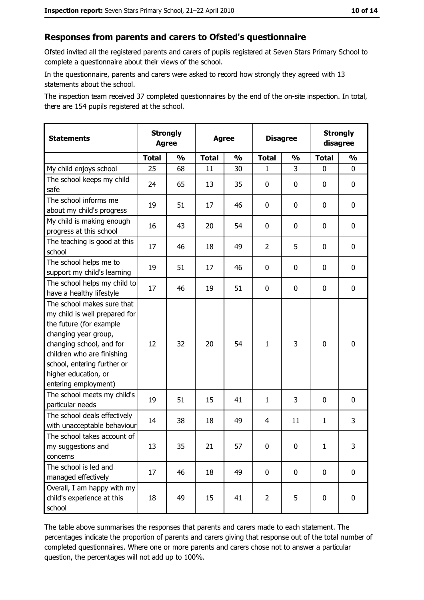### Responses from parents and carers to Ofsted's questionnaire

Ofsted invited all the registered parents and carers of pupils registered at Seven Stars Primary School to complete a questionnaire about their views of the school.

In the questionnaire, parents and carers were asked to record how strongly they agreed with 13 statements about the school.

The inspection team received 37 completed questionnaires by the end of the on-site inspection. In total, there are 154 pupils registered at the school.

| <b>Statements</b>                                                                                                                                                                                                                                       | <b>Strongly</b><br><b>Agree</b> | <b>Strongly</b><br><b>Disagree</b><br><b>Agree</b><br>disagree |              |               |                |               |              |               |
|---------------------------------------------------------------------------------------------------------------------------------------------------------------------------------------------------------------------------------------------------------|---------------------------------|----------------------------------------------------------------|--------------|---------------|----------------|---------------|--------------|---------------|
|                                                                                                                                                                                                                                                         | <b>Total</b>                    | $\frac{1}{2}$                                                  | <b>Total</b> | $\frac{0}{0}$ | <b>Total</b>   | $\frac{0}{0}$ | <b>Total</b> | $\frac{1}{2}$ |
| My child enjoys school                                                                                                                                                                                                                                  | 25                              | 68                                                             | 11           | 30            | 1              | 3             | 0            | 0             |
| The school keeps my child<br>safe                                                                                                                                                                                                                       | 24                              | 65                                                             | 13           | 35            | $\mathbf 0$    | 0             | 0            | 0             |
| The school informs me<br>about my child's progress                                                                                                                                                                                                      | 19                              | 51                                                             | 17           | 46            | $\mathbf 0$    | 0             | 0            | 0             |
| My child is making enough<br>progress at this school                                                                                                                                                                                                    | 16                              | 43                                                             | 20           | 54            | $\mathbf 0$    | 0             | 0            | 0             |
| The teaching is good at this<br>school                                                                                                                                                                                                                  | 17                              | 46                                                             | 18           | 49            | $\overline{2}$ | 5             | 0            | 0             |
| The school helps me to<br>support my child's learning                                                                                                                                                                                                   | 19                              | 51                                                             | 17           | 46            | $\mathbf 0$    | 0             | 0            | $\mathbf 0$   |
| The school helps my child to<br>have a healthy lifestyle                                                                                                                                                                                                | 17                              | 46                                                             | 19           | 51            | $\mathbf 0$    | 0             | 0            | 0             |
| The school makes sure that<br>my child is well prepared for<br>the future (for example<br>changing year group,<br>changing school, and for<br>children who are finishing<br>school, entering further or<br>higher education, or<br>entering employment) | 12                              | 32                                                             | 20           | 54            | $\mathbf{1}$   | 3             | $\mathbf 0$  | $\bf{0}$      |
| The school meets my child's<br>particular needs                                                                                                                                                                                                         | 19                              | 51                                                             | 15           | 41            | $\mathbf{1}$   | 3             | $\Omega$     | 0             |
| The school deals effectively<br>with unacceptable behaviour                                                                                                                                                                                             | 14                              | 38                                                             | 18           | 49            | 4              | 11            | 1            | 3             |
| The school takes account of<br>my suggestions and<br>concerns                                                                                                                                                                                           | 13                              | 35                                                             | 21           | 57            | $\mathbf 0$    | 0             | $\mathbf{1}$ | 3             |
| The school is led and<br>managed effectively                                                                                                                                                                                                            | 17                              | 46                                                             | 18           | 49            | $\mathbf 0$    | 0             | $\mathbf 0$  | 0             |
| Overall, I am happy with my<br>child's experience at this<br>school                                                                                                                                                                                     | 18                              | 49                                                             | 15           | 41            | $\overline{2}$ | 5             | 0            | 0             |

The table above summarises the responses that parents and carers made to each statement. The percentages indicate the proportion of parents and carers giving that response out of the total number of completed questionnaires. Where one or more parents and carers chose not to answer a particular question, the percentages will not add up to 100%.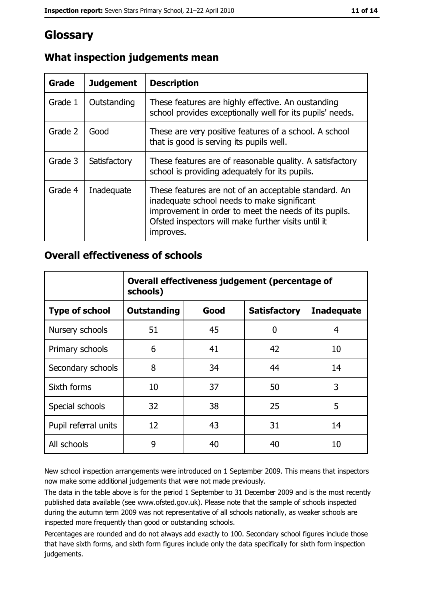# Glossary

| Grade   | <b>Judgement</b> | <b>Description</b>                                                                                                                                                                                                               |
|---------|------------------|----------------------------------------------------------------------------------------------------------------------------------------------------------------------------------------------------------------------------------|
| Grade 1 | Outstanding      | These features are highly effective. An oustanding<br>school provides exceptionally well for its pupils' needs.                                                                                                                  |
| Grade 2 | Good             | These are very positive features of a school. A school<br>that is good is serving its pupils well.                                                                                                                               |
| Grade 3 | Satisfactory     | These features are of reasonable quality. A satisfactory<br>school is providing adequately for its pupils.                                                                                                                       |
| Grade 4 | Inadequate       | These features are not of an acceptable standard. An<br>inadequate school needs to make significant<br>improvement in order to meet the needs of its pupils.<br>Ofsted inspectors will make further visits until it<br>improves. |

### What inspection judgements mean

### **Overall effectiveness of schools**

|                       | Overall effectiveness judgement (percentage of<br>schools) |      |                     |                   |  |
|-----------------------|------------------------------------------------------------|------|---------------------|-------------------|--|
| <b>Type of school</b> | <b>Outstanding</b>                                         | Good | <b>Satisfactory</b> | <b>Inadequate</b> |  |
| Nursery schools       | 51                                                         | 45   | 0                   | 4                 |  |
| Primary schools       | 6                                                          | 41   | 42                  | 10                |  |
| Secondary schools     | 8                                                          | 34   | 44                  | 14                |  |
| Sixth forms           | 10                                                         | 37   | 50                  | 3                 |  |
| Special schools       | 32                                                         | 38   | 25                  | 5                 |  |
| Pupil referral units  | 12                                                         | 43   | 31                  | 14                |  |
| All schools           | 9                                                          | 40   | 40                  | 10                |  |

New school inspection arrangements were introduced on 1 September 2009. This means that inspectors now make some additional judgements that were not made previously.

The data in the table above is for the period 1 September to 31 December 2009 and is the most recently published data available (see www.ofsted.gov.uk). Please note that the sample of schools inspected during the autumn term 2009 was not representative of all schools nationally, as weaker schools are inspected more frequently than good or outstanding schools.

Percentages are rounded and do not always add exactly to 100. Secondary school figures include those that have sixth forms, and sixth form figures include only the data specifically for sixth form inspection judgements.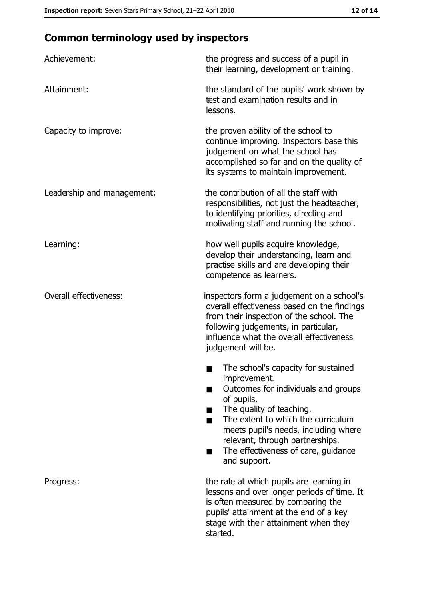# **Common terminology used by inspectors**

| Achievement:               | the progress and success of a pupil in<br>their learning, development or training.                                                                                                                                                                                                                           |
|----------------------------|--------------------------------------------------------------------------------------------------------------------------------------------------------------------------------------------------------------------------------------------------------------------------------------------------------------|
| Attainment:                | the standard of the pupils' work shown by<br>test and examination results and in<br>lessons.                                                                                                                                                                                                                 |
| Capacity to improve:       | the proven ability of the school to<br>continue improving. Inspectors base this<br>judgement on what the school has<br>accomplished so far and on the quality of<br>its systems to maintain improvement.                                                                                                     |
| Leadership and management: | the contribution of all the staff with<br>responsibilities, not just the headteacher,<br>to identifying priorities, directing and<br>motivating staff and running the school.                                                                                                                                |
| Learning:                  | how well pupils acquire knowledge,<br>develop their understanding, learn and<br>practise skills and are developing their<br>competence as learners.                                                                                                                                                          |
| Overall effectiveness:     | inspectors form a judgement on a school's<br>overall effectiveness based on the findings<br>from their inspection of the school. The<br>following judgements, in particular,<br>influence what the overall effectiveness<br>judgement will be.                                                               |
|                            | The school's capacity for sustained<br>improvement.<br>Outcomes for individuals and groups<br>of pupils.<br>The quality of teaching.<br>The extent to which the curriculum<br>meets pupil's needs, including where<br>relevant, through partnerships.<br>The effectiveness of care, guidance<br>and support. |
| Progress:                  | the rate at which pupils are learning in<br>lessons and over longer periods of time. It<br>is often measured by comparing the<br>pupils' attainment at the end of a key<br>stage with their attainment when they<br>started.                                                                                 |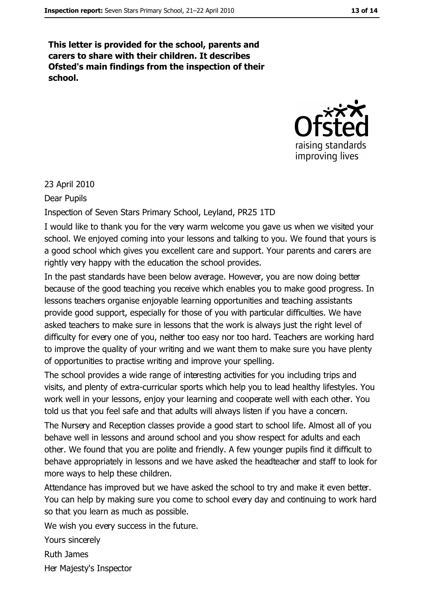This letter is provided for the school, parents and carers to share with their children. It describes Ofsted's main findings from the inspection of their school.



### 23 April 2010

Dear Pupils

Inspection of Seven Stars Primary School, Leyland, PR25 1TD

I would like to thank you for the very warm welcome you gave us when we visited your school. We enjoyed coming into your lessons and talking to you. We found that yours is a good school which gives you excellent care and support. Your parents and carers are rightly very happy with the education the school provides.

In the past standards have been below average. However, you are now doing better because of the good teaching you receive which enables you to make good progress. In lessons teachers organise enjoyable learning opportunities and teaching assistants provide good support, especially for those of you with particular difficulties. We have asked teachers to make sure in lessons that the work is always just the right level of difficulty for every one of you, neither too easy nor too hard. Teachers are working hard to improve the quality of your writing and we want them to make sure you have plenty of opportunities to practise writing and improve your spelling.

The school provides a wide range of interesting activities for you including trips and visits, and plenty of extra-curricular sports which help you to lead healthy lifestyles. You work well in your lessons, enjoy your learning and cooperate well with each other. You told us that you feel safe and that adults will always listen if you have a concern.

The Nursery and Reception classes provide a good start to school life. Almost all of you behave well in lessons and around school and you show respect for adults and each other. We found that you are polite and friendly. A few younger pupils find it difficult to behave appropriately in lessons and we have asked the headteacher and staff to look for more ways to help these children.

Attendance has improved but we have asked the school to try and make it even better. You can help by making sure you come to school every day and continuing to work hard so that you learn as much as possible.

We wish you every success in the future.

Yours sincerely

**Ruth James** 

Her Majesty's Inspector